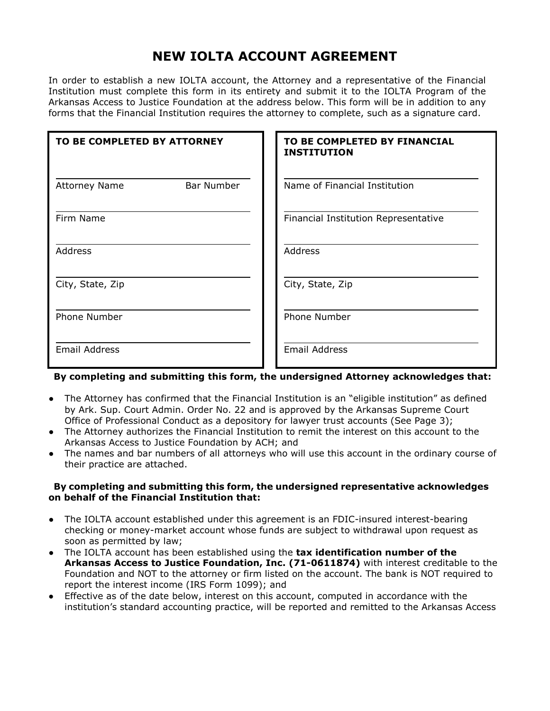# **NEW IOLTA ACCOUNT AGREEMENT**

In order to establish a new IOLTA account, the Attorney and a representative of the Financial Institution must complete this form in its entirety and submit it to the IOLTA Program of the Arkansas Access to Justice Foundation at the address below. This form will be in addition to any forms that the Financial Institution requires the attorney to complete, such as a signature card.

| TO BE COMPLETED BY ATTORNEY               | TO BE COMPLETED BY FINANCIAL<br><b>INSTITUTION</b> |
|-------------------------------------------|----------------------------------------------------|
| <b>Bar Number</b><br><b>Attorney Name</b> | Name of Financial Institution                      |
| Firm Name                                 | Financial Institution Representative               |
| Address                                   | <b>Address</b>                                     |
| City, State, Zip                          | City, State, Zip                                   |
| Phone Number                              | Phone Number                                       |
| <b>Email Address</b>                      | <b>Email Address</b>                               |

### **By completing and submitting this form, the undersigned Attorney acknowledges that:**

- The Attorney has confirmed that the Financial Institution is an "eligible institution" as defined by Ark. Sup. Court Admin. Order No. 22 and is approved by the Arkansas Supreme Court Office of Professional Conduct as a depository for lawyer trust accounts (See Page 3);
- The Attorney authorizes the Financial Institution to remit the interest on this account to the Arkansas Access to Justice Foundation by ACH; and
- The names and bar numbers of all attorneys who will use this account in the ordinary course of their practice are attached.

#### **By completing and submitting this form, the undersigned representative acknowledges on behalf of the Financial Institution that:**

- The IOLTA account established under this agreement is an FDIC-insured interest-bearing checking or money-market account whose funds are subject to withdrawal upon request as soon as permitted by law;
- The IOLTA account has been established using the **tax identification number of the Arkansas Access to Justice Foundation, Inc. (71-0611874)** with interest creditable to the Foundation and NOT to the attorney or firm listed on the account. The bank is NOT required to report the interest income (IRS Form 1099); and
- Effective as of the date below, interest on this account, computed in accordance with the institution's standard accounting practice, will be reported and remitted to the Arkansas Access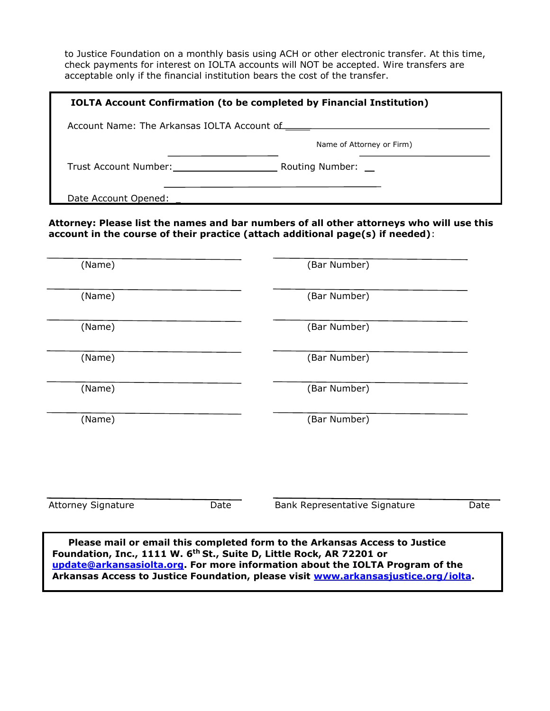to Justice Foundation on a monthly basis using ACH or other electronic transfer. At this time, check payments for interest on IOLTA accounts will NOT be accepted. Wire transfers are acceptable only if the financial institution bears the cost of the transfer.

|                                     | <b>IOLTA Account Confirmation (to be completed by Financial Institution)</b> |  |  |
|-------------------------------------|------------------------------------------------------------------------------|--|--|
|                                     |                                                                              |  |  |
|                                     | Name of Attorney or Firm)                                                    |  |  |
| Trust Account Number: Trust Account | Routing Number: __                                                           |  |  |
| Date Account Opened:                |                                                                              |  |  |

### **Attorney: Please list the names and bar numbers of all other attorneys who will use this account in the course of their practice (attach additional page(s) if needed)**:

| (Name)                                                                                                                                                                                                                                                                                                                               |      | (Bar Number)                  |      |  |
|--------------------------------------------------------------------------------------------------------------------------------------------------------------------------------------------------------------------------------------------------------------------------------------------------------------------------------------|------|-------------------------------|------|--|
| (Name)                                                                                                                                                                                                                                                                                                                               |      | (Bar Number)                  |      |  |
| (Name)                                                                                                                                                                                                                                                                                                                               |      | (Bar Number)                  |      |  |
| (Name)                                                                                                                                                                                                                                                                                                                               |      | (Bar Number)                  |      |  |
| (Name)                                                                                                                                                                                                                                                                                                                               |      | (Bar Number)                  |      |  |
| (Name)                                                                                                                                                                                                                                                                                                                               |      | (Bar Number)                  |      |  |
|                                                                                                                                                                                                                                                                                                                                      |      |                               |      |  |
| <b>Attorney Signature</b>                                                                                                                                                                                                                                                                                                            | Date | Bank Representative Signature | Date |  |
| Please mail or email this completed form to the Arkansas Access to Justice<br>Foundation, Inc., 1111 W. 6 <sup>th</sup> St., Suite D, Little Rock, AR 72201 or<br>update@arkansasiolta.org. For more information about the IOLTA Program of the<br>Arkansas Access to Justice Foundation, please visit www.arkansasjustice.org/iolta |      |                               |      |  |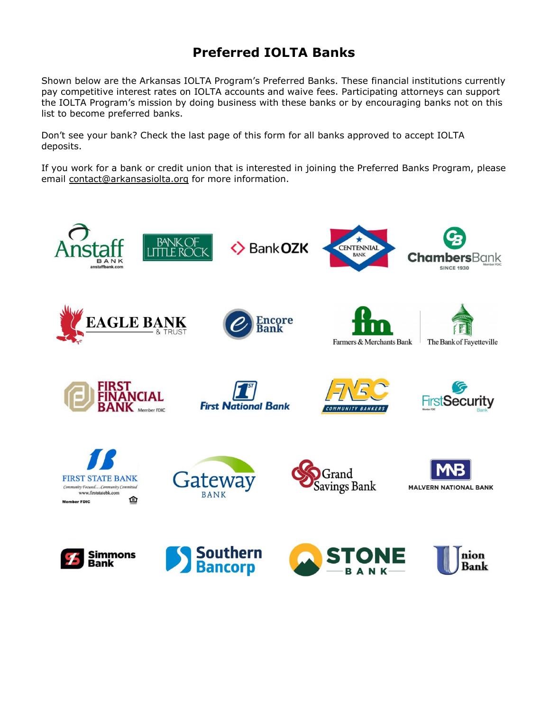### **Preferred IOLTA Banks**

Shown below are the Arkansas IOLTA Program's Preferred Banks. These financial institutions currently pay competitive interest rates on IOLTA accounts and waive fees. Participating attorneys can support the IOLTA Program's mission by doing business with these banks or by encouraging banks not on this list to become preferred banks.

Don't see your bank? Check the last page of this form for all banks approved to accept IOLTA deposits.

If you work for a bank or credit union that is interested in joining the Preferred Banks Program, please email [contact@arkansasiolta.org](mailto:contact@arkansasiolta.org) for more information.